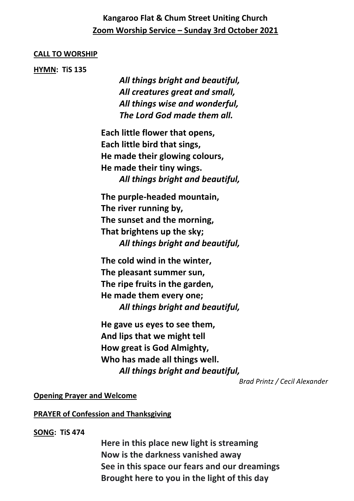# **Kangaroo Flat & Chum Street Uniting Church Zoom Worship Service – Sunday 3rd October 2021**

#### **CALL TO WORSHIP**

#### **HYMN: TiS 135**

*All things bright and beautiful, All creatures great and small, All things wise and wonderful, The Lord God made them all.*

**Each little flower that opens, Each little bird that sings, He made their glowing colours, He made their tiny wings.** *All things bright and beautiful,*

**The purple-headed mountain, The river running by, The sunset and the morning, That brightens up the sky;** *All things bright and beautiful,*

**The cold wind in the winter, The pleasant summer sun, The ripe fruits in the garden, He made them every one;** *All things bright and beautiful,*

**He gave us eyes to see them, And lips that we might tell How great is God Almighty, Who has made all things well.**  *All things bright and beautiful,*

 *Brad Printz / Cecil Alexander*

#### **Opening Prayer and Welcome**

## **PRAYER of Confession and Thanksgiving**

**SONG: TiS 474** 

**Here in this place new light is streaming Now is the darkness vanished away See in this space our fears and our dreamings Brought here to you in the light of this day**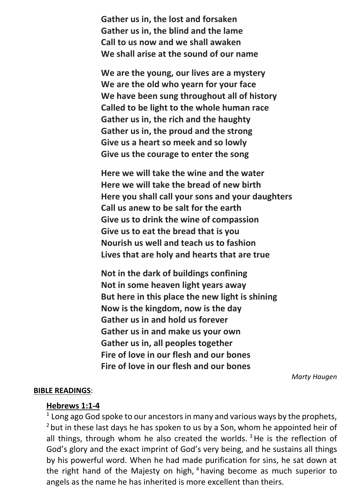**Gather us in, the lost and forsaken Gather us in, the blind and the lame Call to us now and we shall awaken We shall arise at the sound of our name**

**We are the young, our lives are a mystery We are the old who yearn for your face We have been sung throughout all of history Called to be light to the whole human race Gather us in, the rich and the haughty Gather us in, the proud and the strong Give us a heart so meek and so lowly Give us the courage to enter the song**

**Here we will take the wine and the water Here we will take the bread of new birth Here you shall call your sons and your daughters Call us anew to be salt for the earth Give us to drink the wine of compassion Give us to eat the bread that is you Nourish us well and teach us to fashion Lives that are holy and hearts that are true**

**Not in the dark of buildings confining Not in some heaven light years away But here in this place the new light is shining Now is the kingdom, now is the day Gather us in and hold us forever Gather us in and make us your own Gather us in, all peoples together Fire of love in our flesh and our bones Fire of love in our flesh and our bones**

*Marty Haugen*

#### **BIBLE READINGS**:

#### **Hebrews 1:1-4**

 $1$  Long ago God spoke to our ancestors in many and various ways by the prophets,  $2$  but in these last days he has spoken to us by a Son, whom he appointed heir of all things, through whom he also created the worlds. <sup>3</sup> He is the reflection of God's glory and the exact imprint of God's very being, and he sustains all things by his powerful word. When he had made purification for sins, he sat down at the right hand of the Majesty on high,  $4$  having become as much superior to angels as the name he has inherited is more excellent than theirs.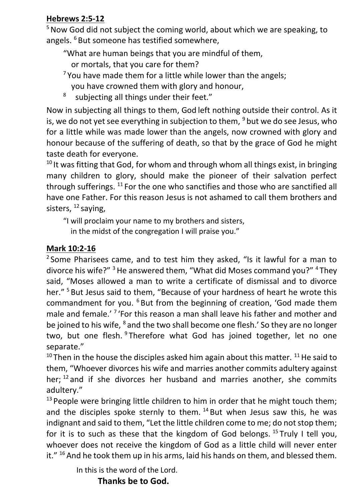# **Hebrews 2:5-12**

 $\sqrt[5]{5}$ Now God did not subject the coming world, about which we are speaking, to angels. <sup>6</sup> But someone has testified somewhere,

"What are human beings that you are mindful of them,

or mortals, that you care for them?

 $7$  You have made them for a little while lower than the angels;

you have crowned them with glory and honour,

8 subjecting all things under their feet."

Now in subjecting all things to them, God left nothing outside their control. As it is, we do not yet see everything in subjection to them,  $9$  but we do see Jesus, who for a little while was made lower than the angels, now crowned with glory and honour because of the suffering of death, so that by the grace of God he might taste death for everyone.

 $10$  It was fitting that God, for whom and through whom all things exist, in bringing many children to glory, should make the pioneer of their salvation perfect through sufferings. <sup>11</sup> For the one who sanctifies and those who are sanctified all have one Father. For this reason Jesus is not ashamed to call them brothers and sisters,  $^{12}$  saying,

"I will proclaim your name to my brothers and sisters,

in the midst of the congregation I will praise you."

# **Mark 10:2-16**

 $2$  Some Pharisees came, and to test him they asked, "Is it lawful for a man to divorce his wife?"<sup>3</sup> He answered them, "What did Moses command you?" <sup>4</sup> They said, "Moses allowed a man to write a certificate of dismissal and to divorce her." <sup>5</sup> But Jesus said to them, "Because of your hardness of heart he wrote this commandment for you. <sup>6</sup> But from the beginning of creation, 'God made them male and female.'<sup>7</sup> 'For this reason a man shall leave his father and mother and be joined to his wife, <sup>8</sup> and the two shall become one flesh.' So they are no longer two, but one flesh. <sup>9</sup>Therefore what God has joined together, let no one separate."

 $10$  Then in the house the disciples asked him again about this matter.  $11$  He said to them, "Whoever divorces his wife and marries another commits adultery against her; <sup>12</sup> and if she divorces her husband and marries another, she commits adultery."

 $13$  People were bringing little children to him in order that he might touch them; and the disciples spoke sternly to them.  $14$  But when Jesus saw this, he was indignant and said to them, "Let the little children come to me; do not stop them; for it is to such as these that the kingdom of God belongs.  $15$  Truly I tell you, whoever does not receive the kingdom of God as a little child will never enter it." <sup>16</sup> And he took them up in his arms, laid his hands on them, and blessed them.

In this is the word of the Lord.

**Thanks be to God.**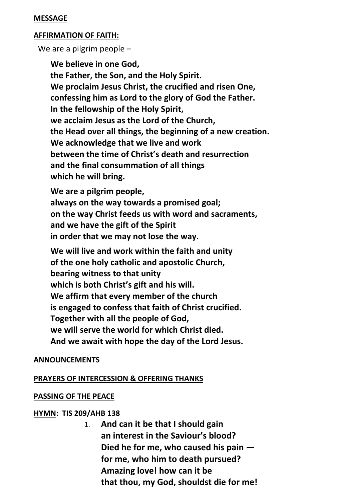## **MESSAGE**

## **AFFIRMATION OF FAITH:**

We are a pilgrim people –

**We believe in one God, the Father, the Son, and the Holy Spirit. We proclaim Jesus Christ, the crucified and risen One, confessing him as Lord to the glory of God the Father. In the fellowship of the Holy Spirit, we acclaim Jesus as the Lord of the Church, the Head over all things, the beginning of a new creation. We acknowledge that we live and work between the time of Christ's death and resurrection and the final consummation of all things which he will bring.**

**We are a pilgrim people, always on the way towards a promised goal; on the way Christ feeds us with word and sacraments, and we have the gift of the Spirit in order that we may not lose the way.**

**We will live and work within the faith and unity of the one holy catholic and apostolic Church, bearing witness to that unity which is both Christ's gift and his will. We affirm that every member of the church is engaged to confess that faith of Christ crucified. Together with all the people of God, we will serve the world for which Christ died. And we await with hope the day of the Lord Jesus.**

## **ANNOUNCEMENTS**

## **PRAYERS OF INTERCESSION & OFFERING THANKS**

#### **PASSING OF THE PEACE**

#### **HYMN: TIS 209/AHB 138**

1. **And can it be that I should gain an interest in the Saviour's blood? Died he for me, who caused his pain for me, who him to death pursued? Amazing love! how can it be that thou, my God, shouldst die for me!**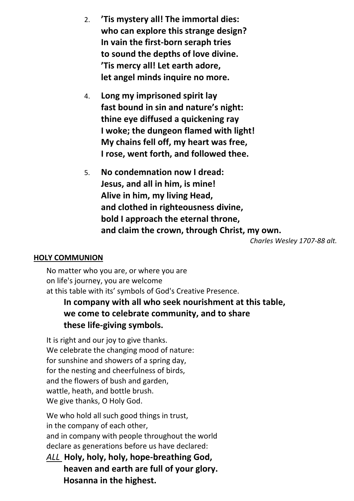- 2. **'Tis mystery all! The immortal dies: who can explore this strange design? In vain the first-born seraph tries to sound the depths of love divine. 'Tis mercy all! Let earth adore, let angel minds inquire no more.**
- 4. **Long my imprisoned spirit lay fast bound in sin and nature's night: thine eye diffused a quickening ray I woke; the dungeon flamed with light! My chains fell off, my heart was free, I rose, went forth, and followed thee.**
- 5. **No condemnation now I dread: Jesus, and all in him, is mine! Alive in him, my living Head, and clothed in righteousness divine, bold I approach the eternal throne, and claim the crown, through Christ, my own.**

*Charles Wesley 1707-88 alt.*

## **HOLY COMMUNION**

No matter who you are, or where you are on life's journey, you are welcome at this table with its' symbols of God's Creative Presence.

# **In company with all who seek nourishment at this table, we come to celebrate community, and to share these life-giving symbols.**

It is right and our joy to give thanks. We celebrate the changing mood of nature: for sunshine and showers of a spring day, for the nesting and cheerfulness of birds, and the flowers of bush and garden, wattle, heath, and bottle brush. We give thanks, O Holy God.

We who hold all such good things in trust, in the company of each other, and in company with people throughout the world declare as generations before us have declared:

*ALL* **Holy, holy, holy, hope-breathing God, heaven and earth are full of your glory. Hosanna in the highest.**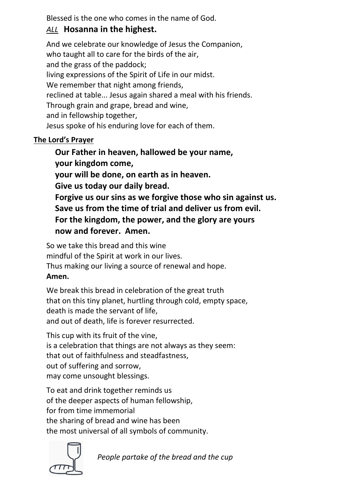Blessed is the one who comes in the name of God.

# *ALL* **Hosanna in the highest.**

And we celebrate our knowledge of Jesus the Companion, who taught all to care for the birds of the air, and the grass of the paddock; living expressions of the Spirit of Life in our midst. We remember that night among friends, reclined at table... Jesus again shared a meal with his friends. Through grain and grape, bread and wine, and in fellowship together, Jesus spoke of his enduring love for each of them.

# **The Lord's Prayer**

**Our Father in heaven, hallowed be your name, your kingdom come, your will be done, on earth as in heaven. Give us today our daily bread. Forgive us our sins as we forgive those who sin against us. Save us from the time of trial and deliver us from evil. For the kingdom, the power, and the glory are yours now and forever. Amen.**

So we take this bread and this wine mindful of the Spirit at work in our lives. Thus making our living a source of renewal and hope. **Amen.**

We break this bread in celebration of the great truth that on this tiny planet, hurtling through cold, empty space, death is made the servant of life, and out of death, life is forever resurrected.

This cup with its fruit of the vine, is a celebration that things are not always as they seem: that out of faithfulness and steadfastness, out of suffering and sorrow, may come unsought blessings.

To eat and drink together reminds us of the deeper aspects of human fellowship, for from time immemorial the sharing of bread and wine has been the most universal of all symbols of community.



*People partake of the bread and the cup*